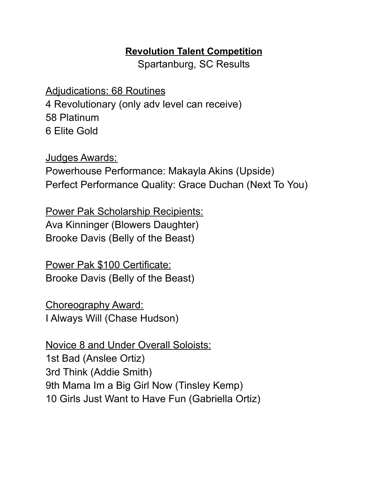## **Revolution Talent Competition**

Spartanburg, SC Results

Adjudications: 68 Routines 4 Revolutionary (only adv level can receive) 58 Platinum 6 Elite Gold

Judges Awards: Powerhouse Performance: Makayla Akins (Upside) Perfect Performance Quality: Grace Duchan (Next To You)

Power Pak Scholarship Recipients: Ava Kinninger (Blowers Daughter) Brooke Davis (Belly of the Beast)

Power Pak \$100 Certificate: Brooke Davis (Belly of the Beast)

Choreography Award: I Always Will (Chase Hudson)

Novice 8 and Under Overall Soloists: 1st Bad (Anslee Ortiz) 3rd Think (Addie Smith) 9th Mama Im a Big Girl Now (Tinsley Kemp) 10 Girls Just Want to Have Fun (Gabriella Ortiz)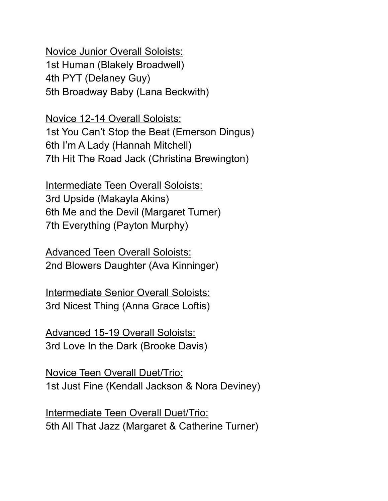Novice Junior Overall Soloists: 1st Human (Blakely Broadwell) 4th PYT (Delaney Guy) 5th Broadway Baby (Lana Beckwith)

Novice 12-14 Overall Soloists: 1st You Can't Stop the Beat (Emerson Dingus) 6th I'm A Lady (Hannah Mitchell) 7th Hit The Road Jack (Christina Brewington)

Intermediate Teen Overall Soloists: 3rd Upside (Makayla Akins) 6th Me and the Devil (Margaret Turner) 7th Everything (Payton Murphy)

Advanced Teen Overall Soloists: 2nd Blowers Daughter (Ava Kinninger)

Intermediate Senior Overall Soloists: 3rd Nicest Thing (Anna Grace Loftis)

Advanced 15-19 Overall Soloists: 3rd Love In the Dark (Brooke Davis)

Novice Teen Overall Duet/Trio: 1st Just Fine (Kendall Jackson & Nora Deviney)

Intermediate Teen Overall Duet/Trio: 5th All That Jazz (Margaret & Catherine Turner)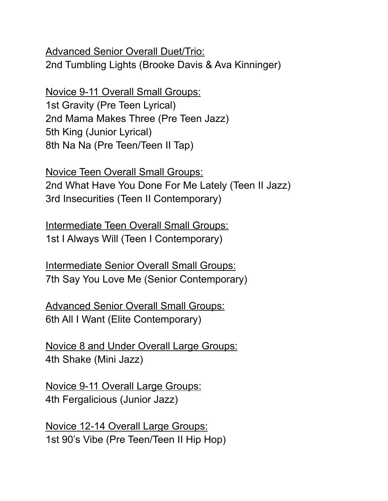Advanced Senior Overall Duet/Trio: 2nd Tumbling Lights (Brooke Davis & Ava Kinninger)

Novice 9-11 Overall Small Groups: 1st Gravity (Pre Teen Lyrical) 2nd Mama Makes Three (Pre Teen Jazz) 5th King (Junior Lyrical) 8th Na Na (Pre Teen/Teen II Tap)

Novice Teen Overall Small Groups: 2nd What Have You Done For Me Lately (Teen II Jazz) 3rd Insecurities (Teen II Contemporary)

Intermediate Teen Overall Small Groups: 1st I Always Will (Teen I Contemporary)

Intermediate Senior Overall Small Groups: 7th Say You Love Me (Senior Contemporary)

Advanced Senior Overall Small Groups: 6th All I Want (Elite Contemporary)

Novice 8 and Under Overall Large Groups: 4th Shake (Mini Jazz)

Novice 9-11 Overall Large Groups: 4th Fergalicious (Junior Jazz)

Novice 12-14 Overall Large Groups: 1st 90's Vibe (Pre Teen/Teen II Hip Hop)